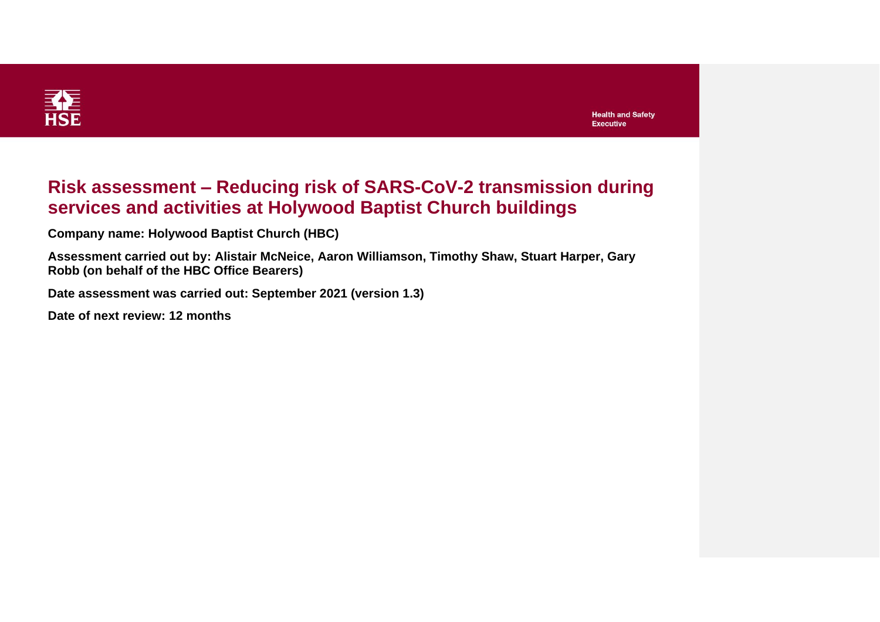

| <b>Health and Safety</b> |  |
|--------------------------|--|
| Executive                |  |

### **Risk assessment – Reducing risk of SARS-CoV-2 transmission during services and activities at Holywood Baptist Church buildings**

**Company name: Holywood Baptist Church (HBC)**

**Assessment carried out by: Alistair McNeice, Aaron Williamson, Timothy Shaw, Stuart Harper, Gary Robb (on behalf of the HBC Office Bearers)**

**Date assessment was carried out: September 2021 (version 1.3)**

**Date of next review: 12 months**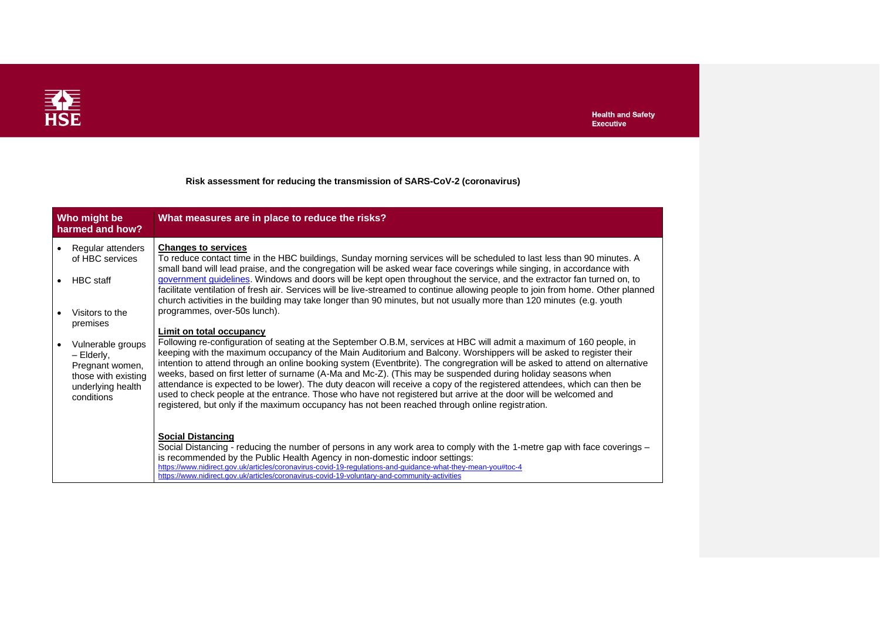

### **Risk assessment for reducing the transmission of SARS-CoV-2 (coronavirus)**

| Who might be<br>harmed and how?                                                                              | What measures are in place to reduce the risks?                                                                                                                                                                                                                                                                                                                                                                                                                                                                                                                                                                                                                                                                                                                                                                                           |
|--------------------------------------------------------------------------------------------------------------|-------------------------------------------------------------------------------------------------------------------------------------------------------------------------------------------------------------------------------------------------------------------------------------------------------------------------------------------------------------------------------------------------------------------------------------------------------------------------------------------------------------------------------------------------------------------------------------------------------------------------------------------------------------------------------------------------------------------------------------------------------------------------------------------------------------------------------------------|
| Regular attenders<br>of HBC services                                                                         | <b>Changes to services</b><br>To reduce contact time in the HBC buildings, Sunday morning services will be scheduled to last less than 90 minutes. A<br>small band will lead praise, and the congregation will be asked wear face coverings while singing, in accordance with                                                                                                                                                                                                                                                                                                                                                                                                                                                                                                                                                             |
| <b>HBC</b> staff                                                                                             | government guidelines. Windows and doors will be kept open throughout the service, and the extractor fan turned on, to<br>facilitate ventilation of fresh air. Services will be live-streamed to continue allowing people to join from home. Other planned<br>church activities in the building may take longer than 90 minutes, but not usually more than 120 minutes (e.g. youth                                                                                                                                                                                                                                                                                                                                                                                                                                                        |
| Visitors to the<br>premises                                                                                  | programmes, over-50s lunch).<br>Limit on total occupancy                                                                                                                                                                                                                                                                                                                                                                                                                                                                                                                                                                                                                                                                                                                                                                                  |
| Vulnerable groups<br>- Elderly,<br>Pregnant women,<br>those with existing<br>underlying health<br>conditions | Following re-configuration of seating at the September O.B.M, services at HBC will admit a maximum of 160 people, in<br>keeping with the maximum occupancy of the Main Auditorium and Balcony. Worshippers will be asked to register their<br>intention to attend through an online booking system (Eventbrite). The congregration will be asked to attend on alternative<br>weeks, based on first letter of surname (A-Ma and Mc-Z). (This may be suspended during holiday seasons when<br>attendance is expected to be lower). The duty deacon will receive a copy of the registered attendees, which can then be<br>used to check people at the entrance. Those who have not registered but arrive at the door will be welcomed and<br>registered, but only if the maximum occupancy has not been reached through online registration. |
|                                                                                                              | <b>Social Distancing</b><br>Social Distancing - reducing the number of persons in any work area to comply with the 1-metre gap with face coverings –<br>is recommended by the Public Health Agency in non-domestic indoor settings:<br>https://www.nidirect.gov.uk/articles/coronavirus-covid-19-regulations-and-guidance-what-they-mean-you#toc-4<br>https://www.nidirect.gov.uk/articles/coronavirus-covid-19-voluntary-and-community-activities                                                                                                                                                                                                                                                                                                                                                                                        |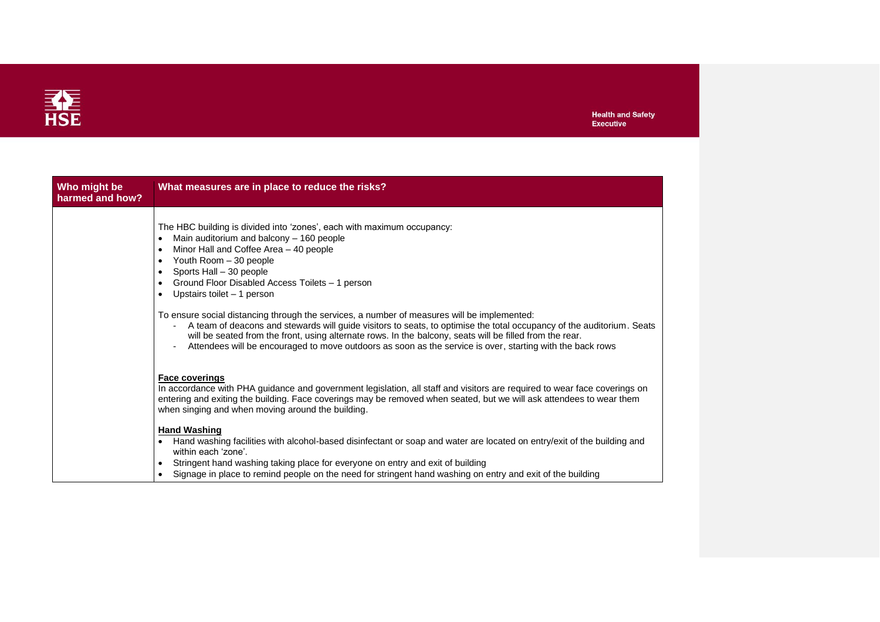

| Who might be<br>harmed and how? | What measures are in place to reduce the risks?                                                                                                                                                                                                                                                                                                                                                                                               |
|---------------------------------|-----------------------------------------------------------------------------------------------------------------------------------------------------------------------------------------------------------------------------------------------------------------------------------------------------------------------------------------------------------------------------------------------------------------------------------------------|
|                                 | The HBC building is divided into 'zones', each with maximum occupancy:<br>Main auditorium and balcony - 160 people<br>$\bullet$<br>Minor Hall and Coffee Area - 40 people<br>٠<br>Youth Room - 30 people<br>$\bullet$<br>Sports Hall - 30 people<br>$\bullet$<br>Ground Floor Disabled Access Toilets - 1 person<br>Upstairs toilet - 1 person                                                                                                |
|                                 | To ensure social distancing through the services, a number of measures will be implemented:<br>A team of deacons and stewards will guide visitors to seats, to optimise the total occupancy of the auditorium. Seats<br>will be seated from the front, using alternate rows. In the balcony, seats will be filled from the rear.<br>Attendees will be encouraged to move outdoors as soon as the service is over, starting with the back rows |
|                                 | <b>Face coverings</b><br>In accordance with PHA guidance and government legislation, all staff and visitors are required to wear face coverings on<br>entering and exiting the building. Face coverings may be removed when seated, but we will ask attendees to wear them<br>when singing and when moving around the building.                                                                                                               |
|                                 | <b>Hand Washing</b><br>Hand washing facilities with alcohol-based disinfectant or soap and water are located on entry/exit of the building and<br>within each 'zone'.<br>Stringent hand washing taking place for everyone on entry and exit of building<br>٠<br>Signage in place to remind people on the need for stringent hand washing on entry and exit of the building<br>$\bullet$                                                       |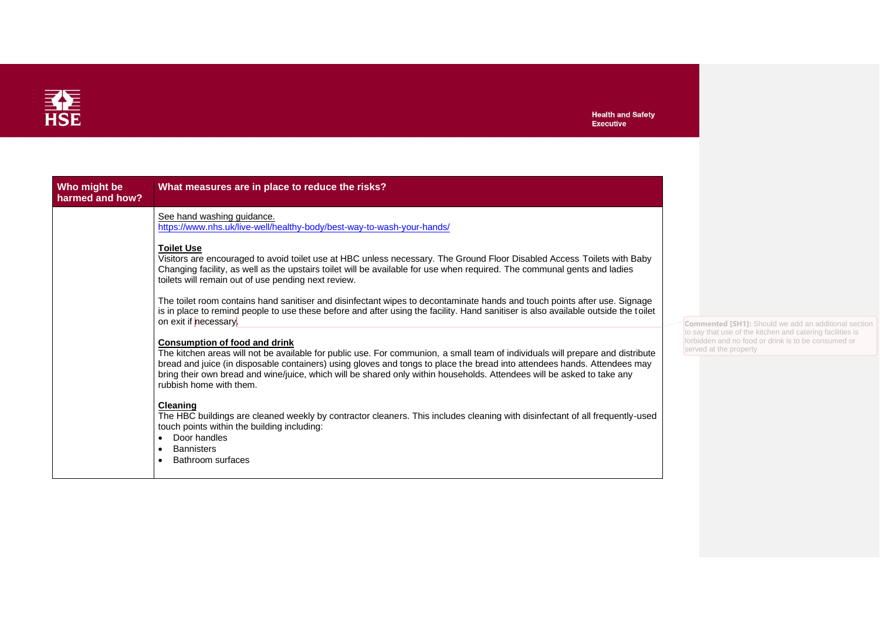

| Who might be<br>harmed and how? | What measures are in place to reduce the risks?                                                                                                                                                                                                                                                                                                                                                                                                         |
|---------------------------------|---------------------------------------------------------------------------------------------------------------------------------------------------------------------------------------------------------------------------------------------------------------------------------------------------------------------------------------------------------------------------------------------------------------------------------------------------------|
|                                 | See hand washing guidance.<br>https://www.nhs.uk/live-well/healthy-body/best-way-to-wash-your-hands/                                                                                                                                                                                                                                                                                                                                                    |
|                                 | <b>Toilet Use</b><br>Visitors are encouraged to avoid toilet use at HBC unless necessary. The Ground Floor Disabled Access Toilets with Baby<br>Changing facility, as well as the upstairs toilet will be available for use when required. The communal gents and ladies<br>toilets will remain out of use pending next review.                                                                                                                         |
|                                 | The toilet room contains hand sanitiser and disinfectant wipes to decontaminate hands and touch points after use. Signage<br>is in place to remind people to use these before and after using the facility. Hand sanitiser is also available outside the toilet<br>on exit if necessary.                                                                                                                                                                |
|                                 | <b>Consumption of food and drink</b><br>The kitchen areas will not be available for public use. For communion, a small team of individuals will prepare and distribute<br>bread and juice (in disposable containers) using gloves and tongs to place the bread into attendees hands. Attendees may<br>bring their own bread and wine/juice, which will be shared only within households. Attendees will be asked to take any<br>rubbish home with them. |
|                                 | Cleaning<br>The HBC buildings are cleaned weekly by contractor cleaners. This includes cleaning with disinfectant of all frequently-used<br>touch points within the building including:<br>Door handles<br>$\bullet$<br><b>Bannisters</b><br>$\bullet$<br>Bathroom surfaces<br>$\bullet$                                                                                                                                                                |

**Commented [SH1]:** Should we add an additional section to say that use of the kitchen and catering facilities is I no food or drink is to be consumed or property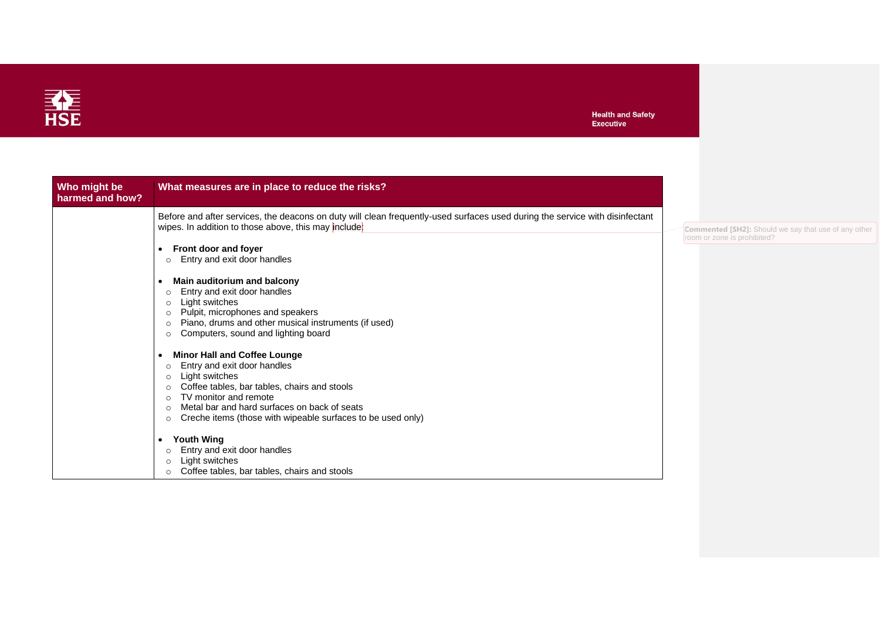

| What measures are in place to reduce the risks?<br>Who might be<br>harmed and how?                                                                                                                                                                                                                                                                                                                                                                                                                                                                         |                                                                                           |
|------------------------------------------------------------------------------------------------------------------------------------------------------------------------------------------------------------------------------------------------------------------------------------------------------------------------------------------------------------------------------------------------------------------------------------------------------------------------------------------------------------------------------------------------------------|-------------------------------------------------------------------------------------------|
| Before and after services, the deacons on duty will clean frequently-used surfaces used during the service with disinfectant<br>wipes. In addition to those above, this may include:<br>Front door and foyer<br>$\bullet$<br>Entry and exit door handles<br>Main auditorium and balcony<br>Entry and exit door handles<br>$\Omega$<br>Light switches<br>$\circ$<br>Pulpit, microphones and speakers<br>$\Omega$                                                                                                                                            | <b>Commented [SH2]:</b> Should we say that use of any othe<br>room or zone is prohibited? |
| Piano, drums and other musical instruments (if used)<br>Computers, sound and lighting board<br>$\Omega$<br><b>Minor Hall and Coffee Lounge</b><br>Entry and exit door handles<br>$\Omega$<br>Light switches<br>$\circ$<br>Coffee tables, bar tables, chairs and stools<br>$\circ$<br>TV monitor and remote<br>$\Omega$<br>Metal bar and hard surfaces on back of seats<br>$\Omega$<br>Creche items (those with wipeable surfaces to be used only)<br>$\circ$<br><b>Youth Wing</b><br>$\bullet$<br>Entry and exit door handles<br>Light switches<br>$\circ$ |                                                                                           |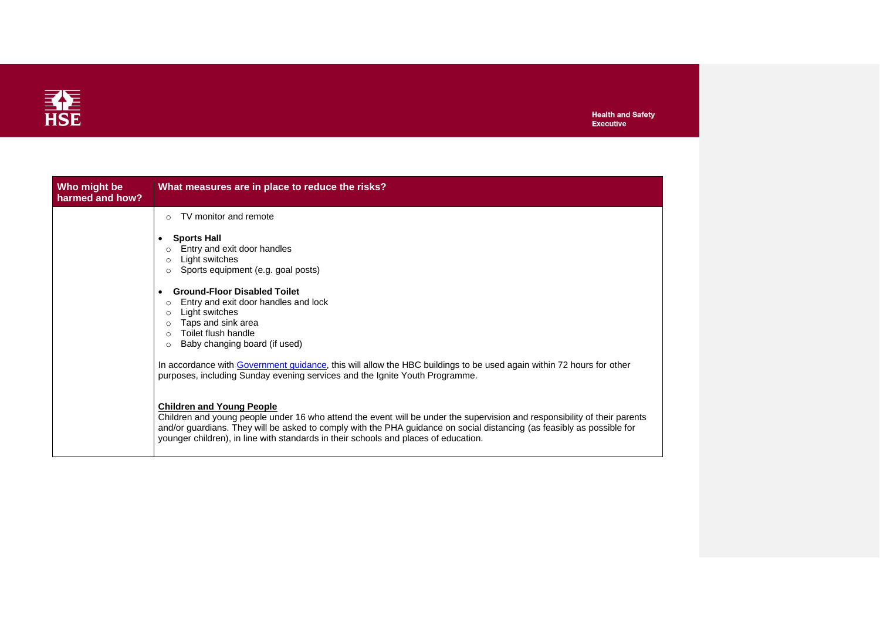

| Who might be<br>harmed and how? | What measures are in place to reduce the risks?                                                                                                                                                                                                                                                                                                                                                                                 |  |
|---------------------------------|---------------------------------------------------------------------------------------------------------------------------------------------------------------------------------------------------------------------------------------------------------------------------------------------------------------------------------------------------------------------------------------------------------------------------------|--|
|                                 | TV monitor and remote<br>$\bigcap$                                                                                                                                                                                                                                                                                                                                                                                              |  |
|                                 | <b>Sports Hall</b><br>Entry and exit door handles<br>$\circ$<br>Light switches<br>$\circ$<br>Sports equipment (e.g. goal posts)<br>$\circ$                                                                                                                                                                                                                                                                                      |  |
|                                 | <b>Ground-Floor Disabled Toilet</b><br>Entry and exit door handles and lock<br>$\circ$<br>Light switches<br>$\circ$<br>Taps and sink area<br>$\Omega$<br>Toilet flush handle<br>Baby changing board (if used)<br>$\circ$<br>In accordance with Government guidance, this will allow the HBC buildings to be used again within 72 hours for other<br>purposes, including Sunday evening services and the Ignite Youth Programme. |  |
|                                 | <b>Children and Young People</b><br>Children and young people under 16 who attend the event will be under the supervision and responsibility of their parents<br>and/or guardians. They will be asked to comply with the PHA guidance on social distancing (as feasibly as possible for<br>younger children), in line with standards in their schools and places of education.                                                  |  |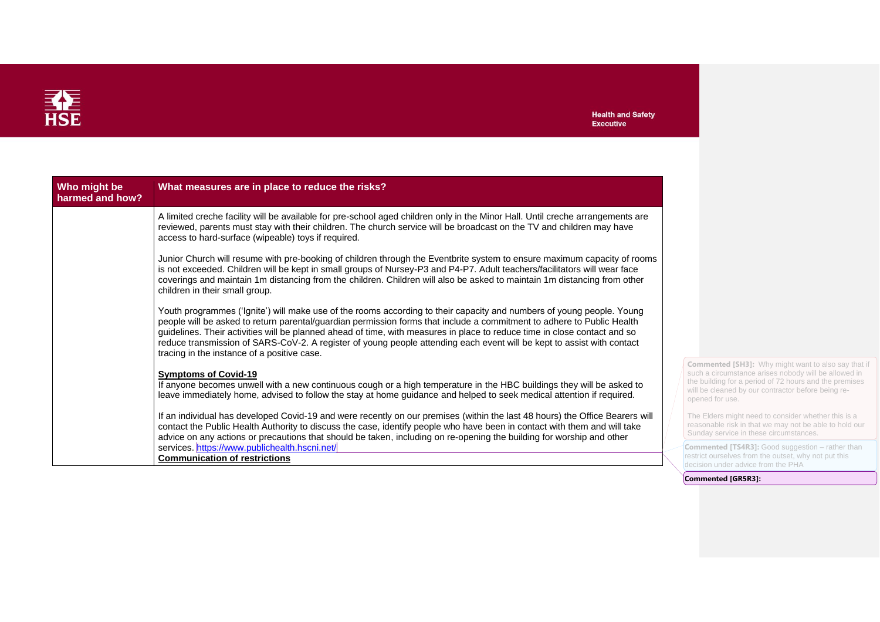

| Who might be<br>harmed and how? | What measures are in place to reduce the risks?                                                                                                                                                                                                                                                                                                                                                                                                                                                                                                       |                                                                                                                                                                                                                                                       |
|---------------------------------|-------------------------------------------------------------------------------------------------------------------------------------------------------------------------------------------------------------------------------------------------------------------------------------------------------------------------------------------------------------------------------------------------------------------------------------------------------------------------------------------------------------------------------------------------------|-------------------------------------------------------------------------------------------------------------------------------------------------------------------------------------------------------------------------------------------------------|
|                                 | A limited creche facility will be available for pre-school aged children only in the Minor Hall. Until creche arrangements are<br>reviewed, parents must stay with their children. The church service will be broadcast on the TV and children may have<br>access to hard-surface (wipeable) toys if required.                                                                                                                                                                                                                                        |                                                                                                                                                                                                                                                       |
|                                 | Junior Church will resume with pre-booking of children through the Eventbrite system to ensure maximum capacity of rooms<br>is not exceeded. Children will be kept in small groups of Nursey-P3 and P4-P7. Adult teachers/facilitators will wear face<br>coverings and maintain 1m distancing from the children. Children will also be asked to maintain 1m distancing from other<br>children in their small group.                                                                                                                                   |                                                                                                                                                                                                                                                       |
|                                 | Youth programmes ('Ignite') will make use of the rooms according to their capacity and numbers of young people. Young<br>people will be asked to return parental/guardian permission forms that include a commitment to adhere to Public Health<br>guidelines. Their activities will be planned ahead of time, with measures in place to reduce time in close contact and so<br>reduce transmission of SARS-CoV-2. A register of young people attending each event will be kept to assist with contact<br>tracing in the instance of a positive case. |                                                                                                                                                                                                                                                       |
|                                 | <b>Symptoms of Covid-19</b><br>If anyone becomes unwell with a new continuous cough or a high temperature in the HBC buildings they will be asked to<br>leave immediately home, advised to follow the stay at home guidance and helped to seek medical attention if required.                                                                                                                                                                                                                                                                         | <b>Commented [SH3]:</b> Why might want to also say that if<br>such a circumstance arises nobody will be allowed in<br>the building for a period of 72 hours and the premises<br>will be cleaned by our contractor before being re-<br>opened for use. |
|                                 | If an individual has developed Covid-19 and were recently on our premises (within the last 48 hours) the Office Bearers will<br>contact the Public Health Authority to discuss the case, identify people who have been in contact with them and will take<br>advice on any actions or precautions that should be taken, including on re-opening the building for worship and other                                                                                                                                                                    | The Elders might need to consider whether this is a<br>reasonable risk in that we may not be able to hold our<br>Sunday service in these circumstances.                                                                                               |
|                                 | services. https://www.publichealth.hscni.net/<br><b>Communication of restrictions</b>                                                                                                                                                                                                                                                                                                                                                                                                                                                                 | <b>Commented [TS4R3]:</b> Good suggestion - rather than<br>restrict ourselves from the outset, why not put this<br>decision under advice from the PHA                                                                                                 |

advice from the PHA

**Commented [GR5R3]:**